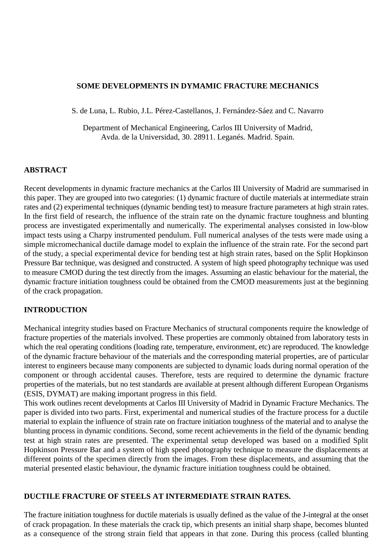## **SOME DEVELOPMENTS IN DYMAMIC FRACTURE MECHANICS**

S. de Luna, L. Rubio, J.L. Pérez-Castellanos, J. Fernández-Sáez and C. Navarro

Department of Mechanical Engineering, Carlos III University of Madrid, Avda. de la Universidad, 30. 28911. Leganés. Madrid. Spain.

## **ABSTRACT**

Recent developments in dynamic fracture mechanics at the Carlos III University of Madrid are summarised in this paper. They are grouped into two categories: (1) dynamic fracture of ductile materials at intermediate strain rates and (2) experimental techniques (dynamic bending test) to measure fracture parameters at high strain rates. In the first field of research, the influence of the strain rate on the dynamic fracture toughness and blunting process are investigated experimentally and numerically. The experimental analyses consisted in low-blow impact tests using a Charpy instrumented pendulum. Full numerical analyses of the tests were made using a simple micromechanical ductile damage model to explain the influence of the strain rate. For the second part of the study, a special experimental device for bending test at high strain rates, based on the Split Hopkinson Pressure Bar technique, was designed and constructed. A system of high speed photography technique was used to measure CMOD during the test directly from the images. Assuming an elastic behaviour for the material, the dynamic fracture initiation toughness could be obtained from the CMOD measurements just at the beginning of the crack propagation.

### **INTRODUCTION**

Mechanical integrity studies based on Fracture Mechanics of structural components require the knowledge of fracture properties of the materials involved. These properties are commonly obtained from laboratory tests in which the real operating conditions (loading rate, temperature, environment, etc) are reproduced. The knowledge of the dynamic fracture behaviour of the materials and the corresponding material properties, are of particular interest to engineers because many components are subjected to dynamic loads during normal operation of the component or through accidental causes. Therefore, tests are required to determine the dynamic fracture properties of the materials, but no test standards are available at present although different European Organisms (ESIS, DYMAT) are making important progress in this field.

This work outlines recent developments at Carlos III University of Madrid in Dynamic Fracture Mechanics. The paper is divided into two parts. First, experimental and numerical studies of the fracture process for a ductile material to explain the influence of strain rate on fracture initiation toughness of the material and to analyse the blunting process in dynamic conditions. Second, some recent achievements in the field of the dynamic bending test at high strain rates are presented. The experimental setup developed was based on a modified Split Hopkinson Pressure Bar and a system of high speed photography technique to measure the displacements at different points of the specimen directly from the images. From these displacements, and assuming that the material presented elastic behaviour, the dynamic fracture initiation toughness could be obtained.

## **DUCTILE FRACTURE OF STEELS AT INTERMEDIATE STRAIN RATES.**

The fracture initiation toughness for ductile materials is usually defined as the value of the J-integral at the onset of crack propagation. In these materials the crack tip, which presents an initial sharp shape, becomes blunted as a consequence of the strong strain field that appears in that zone. During this process (called blunting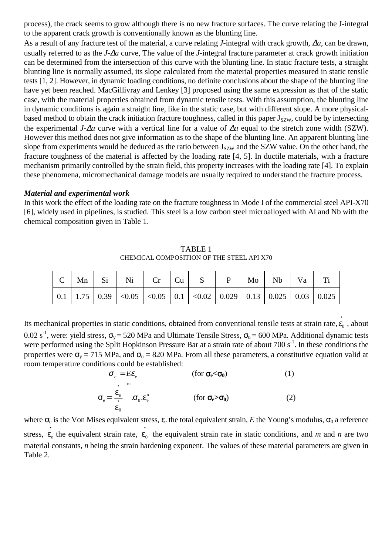process), the crack seems to grow although there is no new fracture surfaces. The curve relating the J-integral to the apparent crack growth is conventionally known as the blunting line.

As a result of any fracture test of the material, a curve relating *J*-integral with crack growth, ∆*a*, can be drawn, usually referred to as the *J-*∆*a* curve, The value of the *J*-integral fracture parameter at crack growth initiation can be determined from the intersection of this curve with the blunting line. In static fracture tests, a straight blunting line is normally assumed, its slope calculated from the material properties measured in static tensile tests [1, 2]. However, in dynamic loading conditions, no definite conclusions about the shape of the blunting line have yet been reached. MacGillivray and Lenkey [3] proposed using the same expression as that of the static case, with the material properties obtained from dynamic tensile tests. With this assumption, the blunting line in dynamic conditions is again a straight line, like in the static case, but with different slope. A more physicalbased method to obtain the crack initiation fracture toughness, called in this paper  $J_{SZW}$ , could be by intersecting the experimental *J-*∆*a* curve with a vertical line for a value of ∆*a* equal to the stretch zone width (SZW). However this method does not give information as to the shape of the blunting line. An apparent blunting line slope from experiments would be deduced as the ratio between  $J_{szw}$  and the SZW value. On the other hand, the fracture toughness of the material is affected by the loading rate [4, 5]. In ductile materials, with a fracture mechanism primarily controlled by the strain field, this property increases with the loading rate [4]. To explain these phenomena, micromechanical damage models are usually required to understand the fracture process.

### *Material and experimental work*

In this work the effect of the loading rate on the fracture toughness in Mode I of the commercial steel API-X70 [6], widely used in pipelines, is studied. This steel is a low carbon steel microalloyed with Al and Nb with the chemical composition given in Table 1.

TABLE 1 CHEMICAL COMPOSITION OF THE STEEL API X70

Its mechanical properties in static conditions, obtained from conventional tensile tests at strain rate,  $\dot{\epsilon_0}$  , about 0.02 s<sup>-1</sup>, were: yield stress,  $\sigma_v$  = 520 MPa and Ultimate Tensile Stress,  $\sigma_u$  = 600 MPa. Additional dynamic tests were performed using the Split Hopkinson Pressure Bar at a strain rate of about 700 s<sup>-1</sup>. In these conditions the properties were  $\sigma_y$  = 715 MPa, and  $\sigma_u$  = 820 MPa. From all these parameters, a constitutive equation valid at room temperature conditions could be established:

$$
\sigma_e = E \varepsilon_e \qquad \text{(for } \sigma_e < \sigma_0 \text{)}
$$
(1)  

$$
\sigma_e = \left(\frac{\varepsilon_e}{\varepsilon_0}\right)^m \cdot \sigma_0 \cdot \varepsilon_e^n \qquad \text{(for } \sigma_e > \sigma_0 \text{)}
$$
(2)

where  $\sigma_e$  is the Von Mises equivalent stress,  $\varepsilon_e$  the total equivalent strain, *E* the Young's modulus,  $\sigma_0$  a reference stress,  $\varepsilon_e$  the equivalent strain rate,  $\varepsilon_0$  the equivalent strain rate in static conditions, and *m* and *n* are two material constants, *n* being the strain hardening exponent. The values of these material parameters are given in Table 2.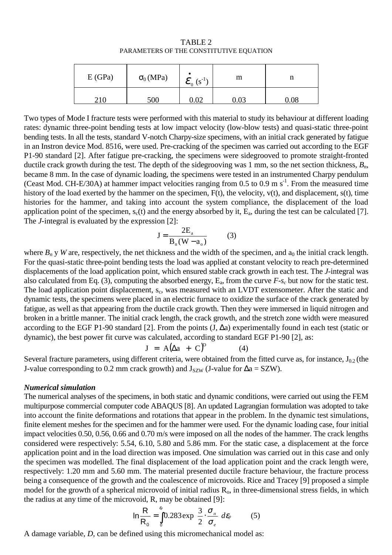| E(GPa) | $\sigma_0(MPa)$ | $\mathbf{\mathcal{E}}_0$ (s <sup>-1</sup> ) | m        |  |
|--------|-----------------|---------------------------------------------|----------|--|
|        | 500             | $0.02\,$                                    | $0.03\,$ |  |

TABLE 2 PARAMETERS OF THE CONSTITUTIVE EQUATION

Two types of Mode I fracture tests were performed with this material to study its behaviour at different loading rates: dynamic three-point bending tests at low impact velocity (low-blow tests) and quasi-static three-point bending tests. In all the tests, standard V-notch Charpy-size specimens, with an initial crack generated by fatigue in an Instron device Mod. 8516, were used. Pre-cracking of the specimen was carried out according to the EGF P1-90 standard [2]. After fatigue pre-cracking, the specimens were sidegrooved to promote straight-fronted ductile crack growth during the test. The depth of the sidegrooving was 1 mm, so the net section thickness,  $B_n$ , became 8 mm. In the case of dynamic loading, the specimens were tested in an instrumented Charpy pendulum (Ceast Mod. CH-E/30A) at hammer impact velocities ranging from 0.5 to 0.9 m s-1. From the measured time history of the load exerted by the hammer on the specimen, F(t), the velocity, v(t), and displacement, s(t), time histories for the hammer, and taking into account the system compliance, the displacement of the load application point of the specimen,  $s_c(t)$  and the energy absorbed by it,  $E_a$ , during the test can be calculated [7]. The *J*-integral is evaluated by the expression [2]:

$$
J = \frac{2E_a}{B_n(W - a_o)}
$$
 (3)

where  $B_n$  y *W* are, respectively, the net thickness and the width of the specimen, and  $a_0$  the initial crack length. For the quasi-static three-point bending tests the load was applied at constant velocity to reach pre-determined displacements of the load application point, which ensured stable crack growth in each test. The *J*-integral was also calculated from Eq. (3), computing the absorbed energy,  $E_a$ , from the curve  $F_{-S_c}$  but now for the static test. The load application point displacement, s<sub>c</sub>, was measured with an LVDT extensometer. After the static and dynamic tests, the specimens were placed in an electric furnace to oxidize the surface of the crack generated by fatigue, as well as that appearing from the ductile crack growth. Then they were immersed in liquid nitrogen and broken in a brittle manner. The initial crack length, the crack growth, and the stretch zone width were measured according to the EGF P1-90 standard [2]. From the points (J, ∆a) experimentally found in each test (static or dynamic), the best power fit curve was calculated, according to standard EGF P1-90 [2], as:

$$
J = A(\Delta a + C)^D \tag{4}
$$

Several fracture parameters, using different criteria, were obtained from the fitted curve as, for instance,  $J_{0.2}$  (the J-value corresponding to 0.2 mm crack growth) and  $J_{SZW}$  (J-value for  $\Delta a = SZW$ ).

#### *Numerical simulation*

The numerical analyses of the specimens, in both static and dynamic conditions, were carried out using the FEM multipurpose commercial computer code ABAQUS [8]. An updated Lagrangian formulation was adopted to take into account the finite deformations and rotations that appear in the problem. In the dynamic test simulations, finite element meshes for the specimen and for the hammer were used*.* For the dynamic loading case, four initial impact velocities 0.50, 0.56, 0.66 and 0.70 m/s were imposed on all the nodes of the hammer. The crack lengths considered were respectively: 5.54, 6.10, 5.80 and 5.86 mm. For the static case, a displacement at the force application point and in the load direction was imposed. One simulation was carried out in this case and only the specimen was modelled. The final displacement of the load application point and the crack length were, respectively: 1.20 mm and 5.60 mm. The material presented ductile fracture behaviour, the fracture process being a consequence of the growth and the coalescence of microvoids. Rice and Tracey [9] proposed a simple model for the growth of a spherical microvoid of initial radius  $R_0$ , in three-dimensional stress fields, in which the radius at any time of the microvoid, R, may be obtained [9]:

$$
\ln \frac{R}{R_0} = \int_0^{\epsilon_p} 0.283 \exp \left( \frac{3}{2} \cdot \frac{\sigma_{\mu}}{\sigma_e} \right) d\varepsilon_p \tag{5}
$$

A damage variable, *D*, can be defined using this micromechanical model as: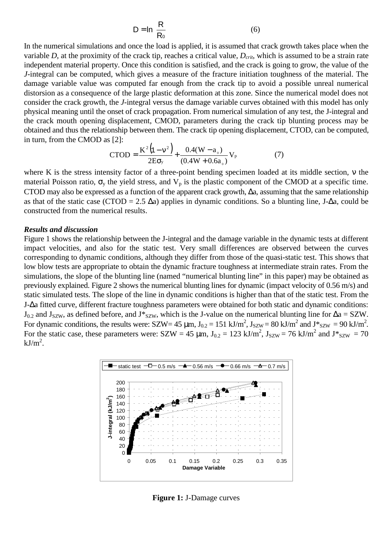$$
D = \ln\left(\frac{R}{R_0}\right) \tag{6}
$$

In the numerical simulations and once the load is applied, it is assumed that crack growth takes place when the variable *D*, at the proximity of the crack tip, reaches a critical value,  $D_{\text{crit}}$ , which is assumed to be a strain rate independent material property. Once this condition is satisfied, and the crack is going to grow, the value of the *J*-integral can be computed, which gives a measure of the fracture initiation toughness of the material. The damage variable value was computed far enough from the crack tip to avoid a possible unreal numerical distorsion as a consequence of the large plastic deformation at this zone. Since the numerical model does not consider the crack growth, the *J*-integral versus the damage variable curves obtained with this model has only physical meaning until the onset of crack propagation. From numerical simulation of any test, the J-integral and the crack mouth opening displacement, CMOD, parameters during the crack tip blunting process may be obtained and thus the relationship between them. The crack tip opening displacement, CTOD, can be computed, in turn, from the CMOD as [2]:

$$
CTOD = \frac{K^2(1 - v^2)}{2E\sigma_y} + \frac{0.4(W - a_0)}{(0.4W + 0.6a_0)} V_p
$$
(7)

where K is the stress intensity factor of a three-point bending specimen loaded at its middle section, ν the material Poisson ratio,  $\sigma_y$  the yield stress, and  $V_p$  is the plastic component of the CMOD at a specific time. CTOD may also be expressed as a function of the apparent crack growth, ∆a, assuming that the same relationship as that of the static case (CTOD = 2.5 ∆a) applies in dynamic conditions. So a blunting line, J-∆a, could be constructed from the numerical results.

#### *Results and discussion*

Figure 1 shows the relationship between the J-integral and the damage variable in the dynamic tests at different impact velocities, and also for the static test. Very small differences are observed between the curves corresponding to dynamic conditions, although they differ from those of the quasi-static test. This shows that low blow tests are appropriate to obtain the dynamic fracture toughness at intermediate strain rates. From the simulations, the slope of the blunting line (named "numerical blunting line" in this paper) may be obtained as previously explained. Figure 2 shows the numerical blunting lines for dynamic (impact velocity of 0.56 m/s) and static simulated tests. The slope of the line in dynamic conditions is higher than that of the static test. From the J-∆a fitted curve, different fracture toughness parameters were obtained for both static and dynamic conditions:  $J_{0.2}$  and  $J_{szW}$ , as defined before, and J\*<sub>SZW</sub>, which is the J-value on the numerical blunting line for  $\Delta a = SZW$ . For dynamic conditions, the results were:  $SZW = 45 \mu m$ ,  $J_{0.2} = 151 \ kJ/m^2$ ,  $J_{SZW} = 80 \ kJ/m^2$  and  $J_{SZW}^* = 90 \ kJ/m^2$ . For the static case, these parameters were:  $SZW = 45 \mu m$ ,  $J_{0.2} = 123 \text{ kJ/m}^2$ ,  $J_{SZW} = 76 \text{ kJ/m}^2$  and  $J_{SZW} = 70$  $kJ/m^2$ .



**Figure 1:** J-Damage curves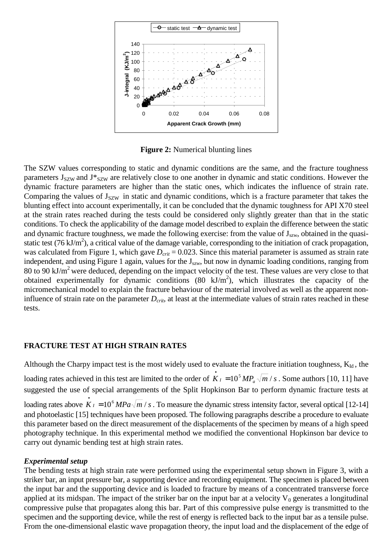

**Figure 2:** Numerical blunting lines

The SZW values corresponding to static and dynamic conditions are the same, and the fracture toughness parameters  $J_{\text{SZW}}$  and  $J_{\text{SZW}}^*$  are relatively close to one another in dynamic and static conditions. However the dynamic fracture parameters are higher than the static ones, which indicates the influence of strain rate. Comparing the values of  $J_{\text{SZW}}$  in static and dynamic conditions, which is a fracture parameter that takes the blunting effect into account experimentally, it can be concluded that the dynamic toughness for API X70 steel at the strain rates reached during the tests could be considered only slightly greater than that in the static conditions. To check the applicability of the damage model described to explain the difference between the static and dynamic fracture toughness, we made the following exercise: from the value of  $J_{szw}$ , obtained in the quasistatic test (76 kJ/m<sup>2</sup>), a critical value of the damage variable, corresponding to the initiation of crack propagation, was calculated from Figure 1, which gave  $D_{crit} = 0.023$ . Since this material parameter is assumed as strain rate independent, and using Figure 1 again, values for the J<sub>szw</sub>, but now in dynamic loading conditions, ranging from 80 to 90 kJ/ $m^2$  were deduced, depending on the impact velocity of the test. These values are very close to that obtained experimentally for dynamic conditions (80 kJ/m<sup>2</sup>), which illustrates the capacity of the micromechanical model to explain the fracture behaviour of the material involved as well as the apparent noninfluence of strain rate on the parameter  $D_{crit}$ , at least at the intermediate values of strain rates reached in these tests.

### **FRACTURE TEST AT HIGH STRAIN RATES**

Although the Charpy impact test is the most widely used to evaluate the fracture initiation toughness,  $K_{Id}$ , the loading rates achieved in this test are limited to the order of  $\vec{K}_I = 10^5 MP_a \sqrt{m} / s$ . Some authors [10, 11] have suggested the use of special arrangements of the Split Hopkinson Bar to perform dynamic fracture tests at loading rates above  $\dot{K}_I = 10^6 MPa \sqrt{m} / s$ . To measure the dynamic stress intensity factor, several optical [12-14] and photoelastic [15] techniques have been proposed. The following paragraphs describe a procedure to evaluate this parameter based on the direct measurement of the displacements of the specimen by means of a high speed photography technique. In this experimental method we modified the conventional Hopkinson bar device to carry out dynamic bending test at high strain rates.

#### *Experimental setup*

The bending tests at high strain rate were performed using the experimental setup shown in Figure 3, with a striker bar, an input pressure bar, a supporting device and recording equipment. The specimen is placed between the input bar and the supporting device and is loaded to fracture by means of a concentrated transverse force applied at its midspan. The impact of the striker bar on the input bar at a velocity  $V_0$  generates a longitudinal compressive pulse that propagates along this bar. Part of this compressive pulse energy is transmitted to the specimen and the supporting device, while the rest of energy is reflected back to the input bar as a tensile pulse. From the one-dimensional elastic wave propagation theory, the input load and the displacement of the edge of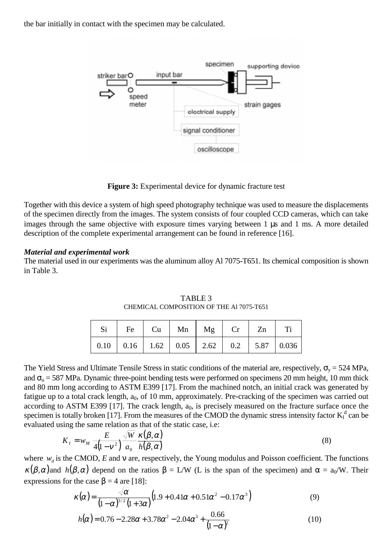the bar initially in contact with the specimen may be calculated.



**Figure 3:** Experimental device for dynamic fracture test

Together with this device a system of high speed photography technique was used to measure the displacements of the specimen directly from the images. The system consists of four coupled CCD cameras, which can take images through the same objective with exposure times varying between 1 µs and 1 ms. A more detailed description of the complete experimental arrangement can be found in reference [16].

#### *Material and experimental work*

The material used in our experiments was the aluminum alloy Al 7075-T651. Its chemical composition is shown in Table 3.

| $Si$   Fe   Cu   Mn   Mg   Cr   Zn   Ti               |  |  |  |
|-------------------------------------------------------|--|--|--|
| 0.10   0.16   1.62   0.05   2.62   0.2   5.87   0.036 |  |  |  |

TABLE 3 CHEMICAL COMPOSITION OF THE Al 7075-T651

The Yield Stress and Ultimate Tensile Stress in static conditions of the material are, respectively,  $\sigma_y = 524 \text{ MPa}$ , and  $\sigma_u$  = 587 MPa. Dynamic three-point bending tests were performed on specimens 20 mm height, 10 mm thick and 80 mm long according to ASTM E399 [17]. From the machined notch, an initial crack was generated by fatigue up to a total crack length,  $a_0$ , of 10 mm, approximately. Pre-cracking of the specimen was carried out according to ASTM E399 [17]. The crack length,  $a_0$ , is precisely measured on the fracture surface once the specimen is totally broken [17]. From the measures of the CMOD the dynamic stress intensity factor  $K_I^d$  can be evaluated using the same relation as that of the static case, i.e:

$$
K_{I} = w_{M} \frac{E}{4(1 - v^{2})} \frac{\sqrt{W}}{a_{0}} \frac{\kappa(\beta, \alpha)}{h(\beta, \alpha)}
$$
(8)

where  $w_d$  is the CMOD, *E* and v are, respectively, the Young modulus and Poisson coefficient. The functions  $\kappa(\beta,\alpha)$  and  $h(\beta,\alpha)$  depend on the ratios  $\beta = L/W$  (L is the span of the specimen) and  $\alpha = a_0/W$ . Their expressions for the case  $\beta = 4$  are [18]:

$$
\kappa(\alpha) = \frac{\sqrt{\alpha}}{(1-\alpha)^{3/2}(1+3\alpha)} (1.9+0.41\alpha+0.51\alpha^2-0.17\alpha^3)
$$
 (9)

$$
h(\alpha) = 0.76 - 2.28\alpha + 3.78\alpha^2 - 2.04\alpha^3 + \frac{0.66}{(1 - \alpha)^2}
$$
 (10)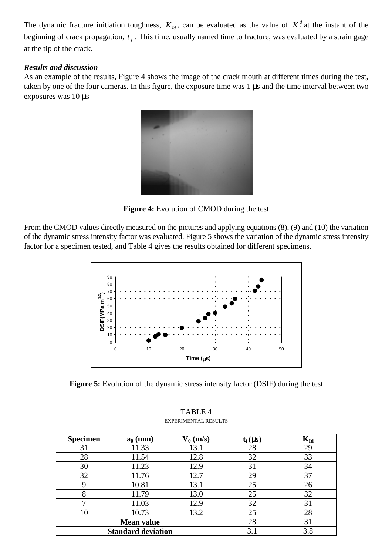The dynamic fracture initiation toughness,  $K_{ld}$ , can be evaluated as the value of  $K_l^d$  at the instant of the beginning of crack propagation,  $t_f$ . This time, usually named time to fracture, was evaluated by a strain gage at the tip of the crack.

## *Results and discussion*

As an example of the results, Figure 4 shows the image of the crack mouth at different times during the test, taken by one of the four cameras. In this figure, the exposure time was 1 µs and the time interval between two exposures was 10 µs



**Figure 4:** Evolution of CMOD during the test

From the CMOD values directly measured on the pictures and applying equations (8), (9) and (10) the variation of the dynamic stress intensity factor was evaluated. Figure 5 shows the variation of the dynamic stress intensity factor for a specimen tested, and Table 4 gives the results obtained for different specimens.



**Figure 5:** Evolution of the dynamic stress intensity factor (DSIF) during the test

| <b>Specimen</b> | $a_0$ (mm)                | $V_0$ (m/s) | $t_f(\mu s)$ | $K_{Id}$ |
|-----------------|---------------------------|-------------|--------------|----------|
| 31              | 11.33                     | 13.1        | 28           | 29       |
| 28              | 11.54                     | 12.8        | 32           | 33       |
| 30              | 11.23                     | 12.9        | 31           | 34       |
| 32              | 11.76                     | 12.7        | 29           | 37       |
| 9               | 10.81                     | 13.1        | 25           | 26       |
| 8               | 11.79                     | 13.0        | 25           | 32       |
| 7               | 11.03                     | 12.9        | 32           | 31       |
| 10              | 10.73                     | 13.2        | 25           | 28       |
|                 | <b>Mean value</b>         | 28          | 31           |          |
|                 | <b>Standard deviation</b> | 3.1         | 3.8          |          |

#### TABLE 4 EXPERIMENTAL RESULTS